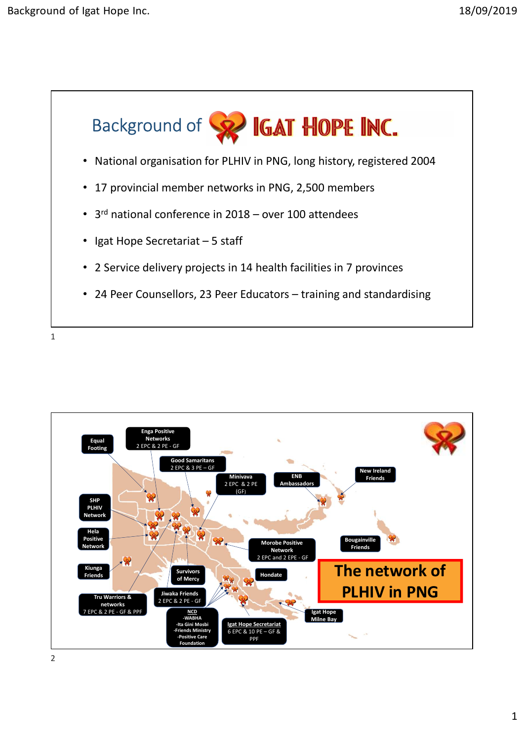



2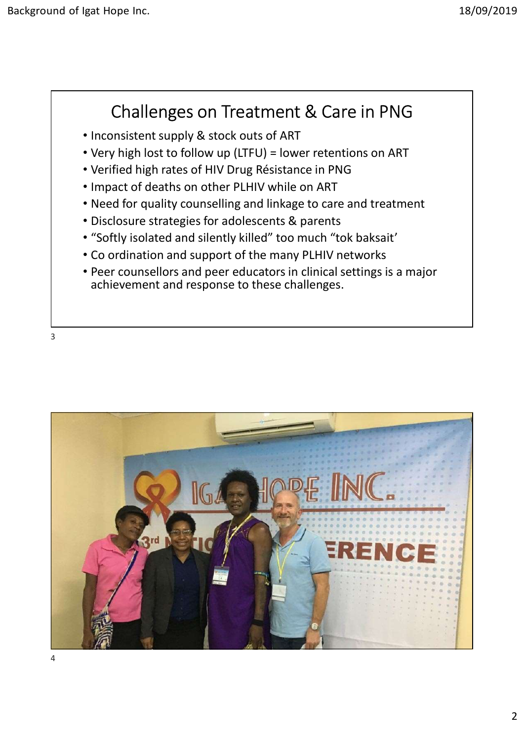## Challenges on Treatment & Care in PNG

- Inconsistent supply & stock outs of ART
- Very high lost to follow up (LTFU) = lower retentions on ART
- Verified high rates of HIV Drug Résistance in PNG
- Impact of deaths on other PLHIV while on ART
- Need for quality counselling and linkage to care and treatment
- Disclosure strategies for adolescents & parents
- 
- 
- **Challenges on Treatment & Care in PNG**<br>• Inconsistent supply & stock outs of ART<br>• Very high lost to follow up (LTFU) = lower retentions on ART<br>• Verified high rates of HIV Drug Résistance in PNG<br>• Impact of deaths on achievement and response to these challenges.

3